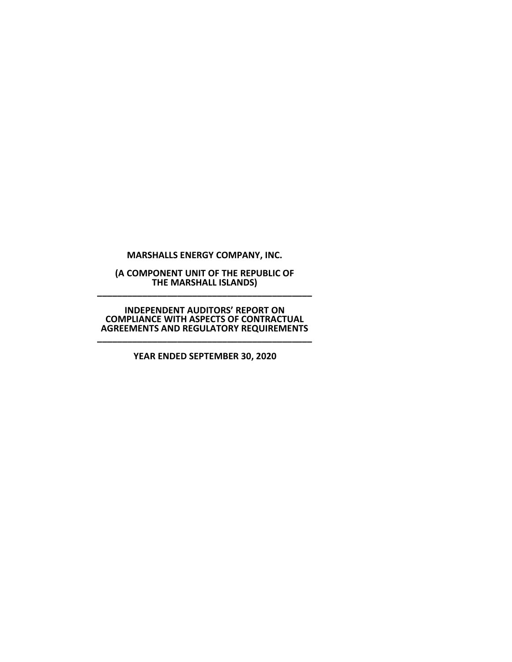**MARSHALLS ENERGY COMPANY, INC.**

**(A COMPONENT UNIT OF THE REPUBLIC OF THE MARSHALL ISLANDS) \_\_\_\_\_\_\_\_\_\_\_\_\_\_\_\_\_\_\_\_\_\_\_\_\_\_\_\_\_\_\_\_\_\_\_\_\_\_\_\_\_\_\_**

**INDEPENDENT AUDITORS' REPORT ON COMPLIANCE WITH ASPECTS OF CONTRACTUAL AGREEMENTS AND REGULATORY REQUIREMENTS \_\_\_\_\_\_\_\_\_\_\_\_\_\_\_\_\_\_\_\_\_\_\_\_\_\_\_\_\_\_\_\_\_\_\_\_\_\_\_\_\_\_\_**

**YEAR ENDED SEPTEMBER 30, 2020**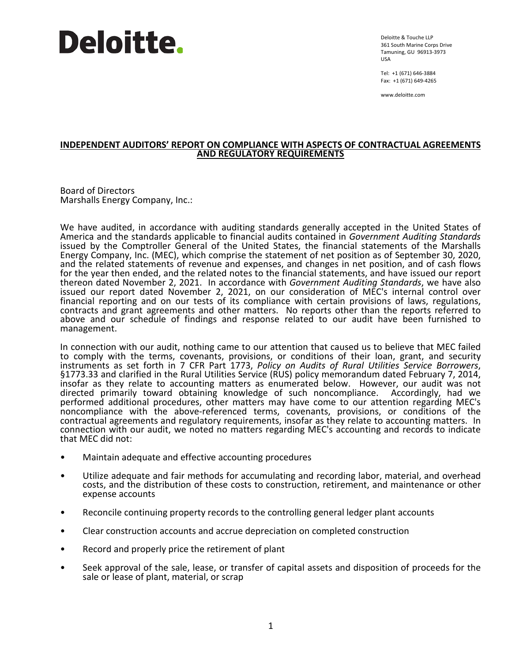## **Deloitte.**

Deloitte & Touche LLP 361 South Marine Corps Drive Tamuning, GU 96913-3973 USA

Tel: +1 (671) 646-3884 Fax: +1 (671) 649-4265

www.deloitte.com

## **INDEPENDENT AUDITORS' REPORT ON COMPLIANCE WITH ASPECTS OF CONTRACTUAL AGREEMENTS AND REGULATORY REQUIREMENTS**

Board of Directors Marshalls Energy Company, Inc.:

We have audited, in accordance with auditing standards generally accepted in the United States of America and the standards applicable to financial audits contained in *Government Auditing Standards* issued by the Comptroller General of the United States, the financial statements of the Marshalls and the related statements of revenue and expenses, and changes in net position, and of cash flows for the year then ended, and the related notes to the financial statements, and have issued our report thereon dated November 2, 2021. In accordance with *Government Auditing Standards*, we have also issued our report dated November 2, 2021, on our consideration of MEC's internal control over financial reporting and on our tests of its compliance with certain provisions of laws, regulations, contracts and grant agreements and other matters. No reports other than the reports referred to above and our schedule of findings and response related to our audit have been furnished to management.

In connection with our audit, nothing came to our attention that caused us to believe that MEC failed to comply with the terms, covenants, provisions, or conditions of their loan, grant, and security instruments as set forth in 7 CFR Part 1773, Policy on Audits of Rural Utilities Service Borrowers, §1773.33 and clarified in the Rural Utilities Service (RUS) policy memorandum dated February 7, 2014, insofar as they relate to accounting matters as enumerated below. However, our audit was not directed primarily toward obtaining knowledge of such noncompliance. Accordingly, had we directed primarily toward obtaining knowledge of such noncompliance. performed additional procedures, other matters may have come to our attention regarding MEC's noncompliance with the above-referenced terms, covenants, provisions, or conditions of the contractual agreements and regulatory requirements, insofar as they relate to accounting matters. In connection with our audit, we noted no matters regarding MEC's accounting and records to indicate that MEC did not:

- Maintain adequate and effective accounting procedures
- Utilize adequate and fair methods for accumulating and recording labor, material, and overhead costs, and the distribution of these costs to construction, retirement, and maintenance or other expense accounts
- Reconcile continuing property records to the controlling general ledger plant accounts
- Clear construction accounts and accrue depreciation on completed construction
- Record and properly price the retirement of plant
- Seek approval of the sale, lease, or transfer of capital assets and disposition of proceeds for the sale or lease of plant, material, or scrap